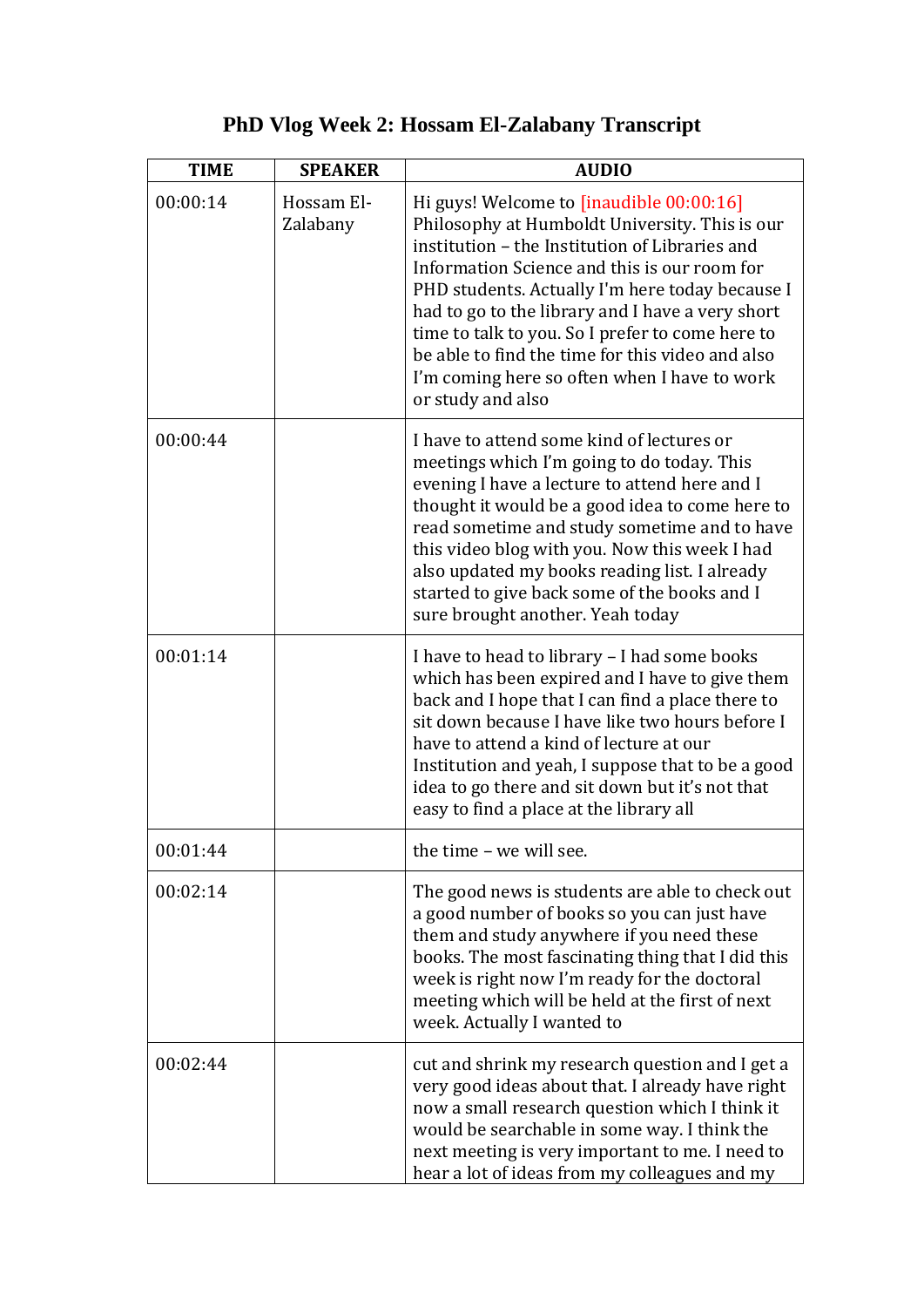## **PhD Vlog Week 2: Hossam El-Zalabany Transcript**

| <b>TIME</b> | <b>SPEAKER</b>         | <b>AUDIO</b>                                                                                                                                                                                                                                                                                                                                                                                                                                                                     |
|-------------|------------------------|----------------------------------------------------------------------------------------------------------------------------------------------------------------------------------------------------------------------------------------------------------------------------------------------------------------------------------------------------------------------------------------------------------------------------------------------------------------------------------|
| 00:00:14    | Hossam El-<br>Zalabany | Hi guys! Welcome to [inaudible 00:00:16]<br>Philosophy at Humboldt University. This is our<br>institution – the Institution of Libraries and<br>Information Science and this is our room for<br>PHD students. Actually I'm here today because I<br>had to go to the library and I have a very short<br>time to talk to you. So I prefer to come here to<br>be able to find the time for this video and also<br>I'm coming here so often when I have to work<br>or study and also |
| 00:00:44    |                        | I have to attend some kind of lectures or<br>meetings which I'm going to do today. This<br>evening I have a lecture to attend here and I<br>thought it would be a good idea to come here to<br>read sometime and study sometime and to have<br>this video blog with you. Now this week I had<br>also updated my books reading list. I already<br>started to give back some of the books and I<br>sure brought another. Yeah today                                                |
| 00:01:14    |                        | I have to head to library - I had some books<br>which has been expired and I have to give them<br>back and I hope that I can find a place there to<br>sit down because I have like two hours before I<br>have to attend a kind of lecture at our<br>Institution and yeah, I suppose that to be a good<br>idea to go there and sit down but it's not that<br>easy to find a place at the library all                                                                              |
| 00:01:44    |                        | the time - we will see                                                                                                                                                                                                                                                                                                                                                                                                                                                           |
| 00:02:14    |                        | The good news is students are able to check out<br>a good number of books so you can just have<br>them and study anywhere if you need these<br>books. The most fascinating thing that I did this<br>week is right now I'm ready for the doctoral<br>meeting which will be held at the first of next<br>week. Actually I wanted to                                                                                                                                                |
| 00:02:44    |                        | cut and shrink my research question and I get a<br>very good ideas about that. I already have right<br>now a small research question which I think it<br>would be searchable in some way. I think the<br>next meeting is very important to me. I need to<br>hear a lot of ideas from my colleagues and my                                                                                                                                                                        |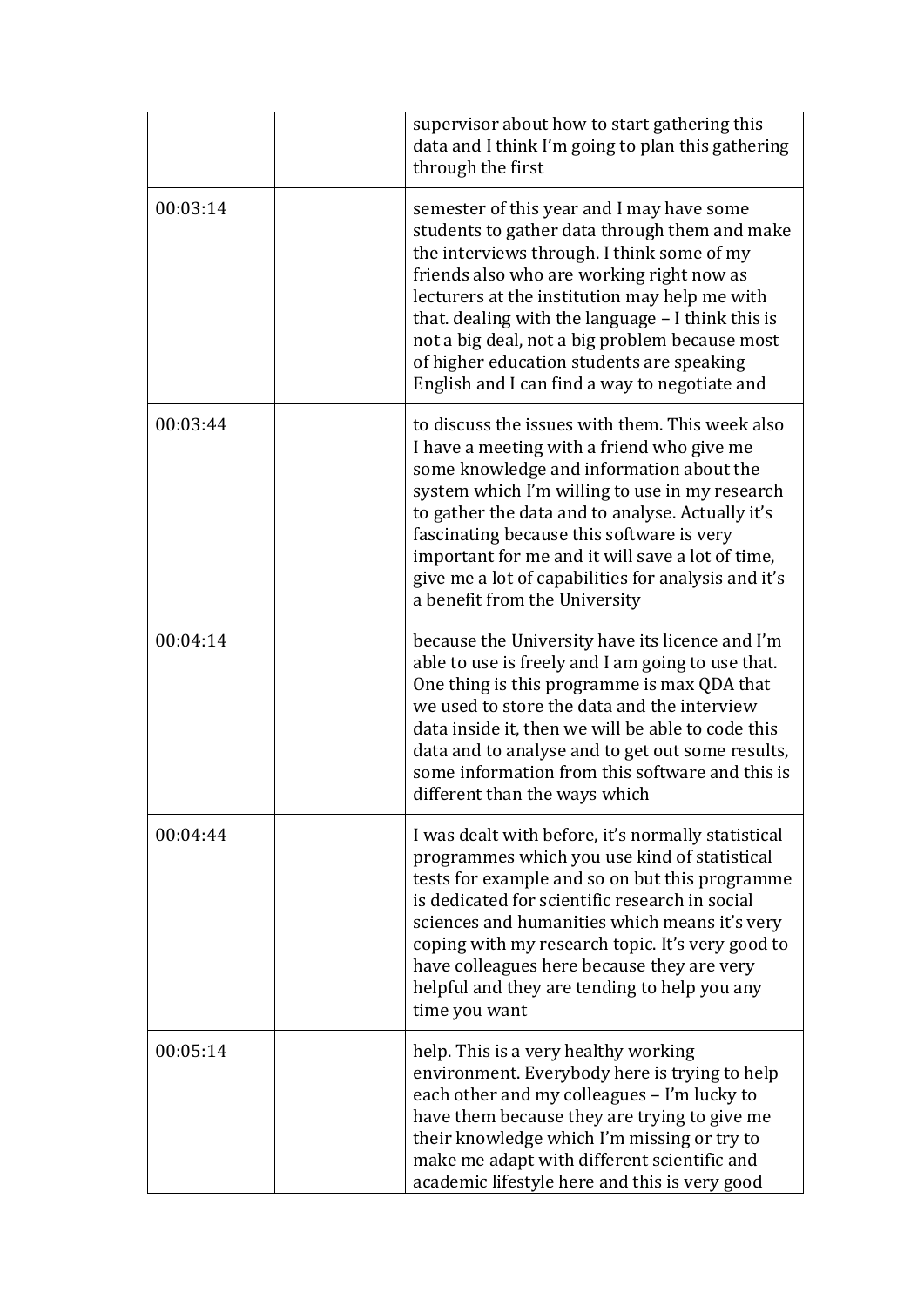|          | supervisor about how to start gathering this<br>data and I think I'm going to plan this gathering<br>through the first                                                                                                                                                                                                                                                                                                                      |
|----------|---------------------------------------------------------------------------------------------------------------------------------------------------------------------------------------------------------------------------------------------------------------------------------------------------------------------------------------------------------------------------------------------------------------------------------------------|
| 00:03:14 | semester of this year and I may have some<br>students to gather data through them and make<br>the interviews through. I think some of my<br>friends also who are working right now as<br>lecturers at the institution may help me with<br>that. dealing with the language - I think this is<br>not a big deal, not a big problem because most<br>of higher education students are speaking<br>English and I can find a way to negotiate and |
| 00:03:44 | to discuss the issues with them. This week also<br>I have a meeting with a friend who give me<br>some knowledge and information about the<br>system which I'm willing to use in my research<br>to gather the data and to analyse. Actually it's<br>fascinating because this software is very<br>important for me and it will save a lot of time,<br>give me a lot of capabilities for analysis and it's<br>a benefit from the University    |
| 00:04:14 | because the University have its licence and I'm<br>able to use is freely and I am going to use that.<br>One thing is this programme is max QDA that<br>we used to store the data and the interview<br>data inside it, then we will be able to code this<br>data and to analyse and to get out some results,<br>some information from this software and this is<br>different than the ways which                                             |
| 00:04:44 | I was dealt with before, it's normally statistical<br>programmes which you use kind of statistical<br>tests for example and so on but this programme<br>is dedicated for scientific research in social<br>sciences and humanities which means it's very<br>coping with my research topic. It's very good to<br>have colleagues here because they are very<br>helpful and they are tending to help you any<br>time you want                  |
| 00:05:14 | help. This is a very healthy working<br>environment. Everybody here is trying to help<br>each other and my colleagues - I'm lucky to<br>have them because they are trying to give me<br>their knowledge which I'm missing or try to<br>make me adapt with different scientific and<br>academic lifestyle here and this is very good                                                                                                         |